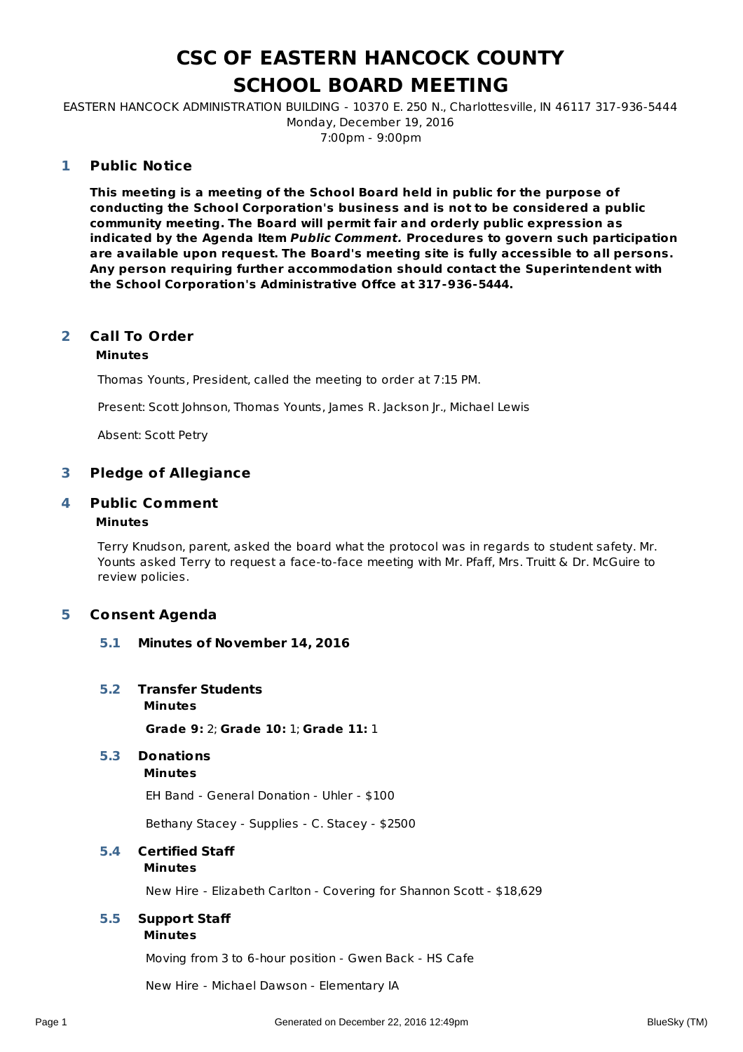# **CSC OF EASTERN HANCOCK COUNTY SCHOOL BOARD MEETING**

EASTERN HANCOCK ADMINISTRATION BUILDING - 10370 E. 250 N., Charlottesville, IN 46117 317-936-5444 Monday, December 19, 2016 7:00pm - 9:00pm

#### **Public Notice 1**

**This meeting is a meeting of the School Board held in public for the purpose of conducting the School Corporation's business and is not to be considered a public community meeting. The Board will permit fair and orderly public expression as indicated by the Agenda Item Public Comment. Procedures to govern such participation are available upon request. The Board's meeting site is fully accessible to all persons. Any person requiring further accommodation should contact the Superintendent with the School Corporation's Administrative Offce at 317-936-5444.**

### **Call To Order 2**

# **Minutes**

Thomas Younts, President, called the meeting to order at 7:15 PM.

Present: Scott Johnson, Thomas Younts, James R. Jackson Jr., Michael Lewis

Absent: Scott Petry

# **3 Pledge of Allegiance**

### **Public Comment 4**

# **Minutes**

Terry Knudson, parent, asked the board what the protocol was in regards to student safety. Mr. Younts asked Terry to request a face-to-face meeting with Mr. Pfaff, Mrs. Truitt & Dr. McGuire to review policies.

# **5 Consent Agenda**

- **5.1 Minutes of November 14, 2016**
- **5.2 Transfer Students**
	- **Minutes**

**Grade 9:** 2; **Grade 10:** 1; **Grade 11:** 1

**5.3 Donations**

```
Minutes
```
EH Band - General Donation - Uhler - \$100

Bethany Stacey - Supplies - C. Stacey - \$2500

**Minutes 5.4 Certified Staff**

New Hire - Elizabeth Carlton - Covering for Shannon Scott - \$18,629

# **Minutes 5.5 Support Staff**

Moving from 3 to 6-hour position - Gwen Back - HS Cafe

New Hire - Michael Dawson - Elementary IA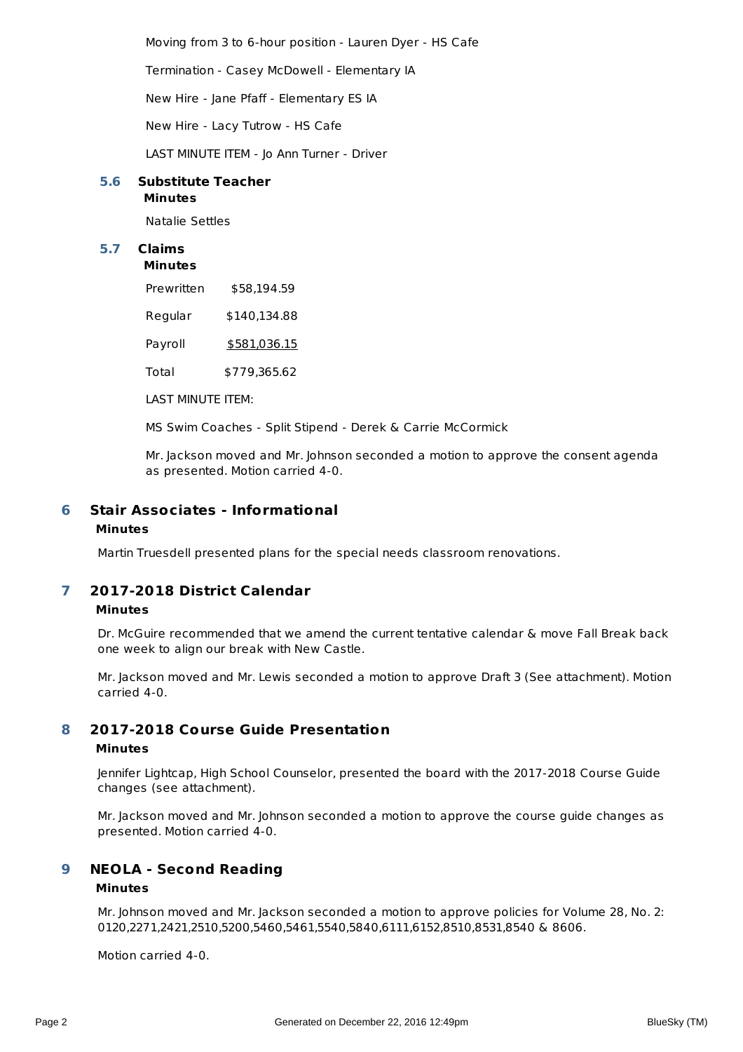Moving from 3 to 6-hour position - Lauren Dyer - HS Cafe

Termination - Casey McDowell - Elementary IA

New Hire - Jane Pfaff - Elementary ES IA

New Hire - Lacy Tutrow - HS Cafe

LAST MINUTE ITEM - Jo Ann Turner - Driver

### **Minutes 5.6 Substitute Teacher**

Natalie Settles

# **5.7 Claims**

**Minutes**

| Prewritten | \$58,194.59         |
|------------|---------------------|
| Regular    | \$140,134.88        |
| Payroll    | <u>\$581,036.15</u> |

Total \$779,365.62

LAST MINUTE ITEM:

MS Swim Coaches - Split Stipend - Derek & Carrie McCormick

Mr. Jackson moved and Mr. Johnson seconded a motion to approve the consent agenda as presented. Motion carried 4-0.

### **Stair Associates - Informational Minutes 6**

Martin Truesdell presented plans for the special needs classroom renovations.

### **2017-2018 District Calendar Minutes 7**

Dr. McGuire recommended that we amend the current tentative calendar & move Fall Break back one week to align our break with New Castle.

Mr. Jackson moved and Mr. Lewis seconded a motion to approve Draft 3 (See attachment). Motion carried 4-0.

#### **2017-2018 Course Guide Presentation 8**

## **Minutes**

Jennifer Lightcap, High School Counselor, presented the board with the 2017-2018 Course Guide changes (see attachment).

Mr. Jackson moved and Mr. Johnson seconded a motion to approve the course guide changes as presented. Motion carried 4-0.

#### **NEOLA - Second Reading 9**

# **Minutes**

Mr. Johnson moved and Mr. Jackson seconded a motion to approve policies for Volume 28, No. 2: 0120,2271,2421,2510,5200,5460,5461,5540,5840,6111,6152,8510,8531,8540 & 8606.

Motion carried 4-0.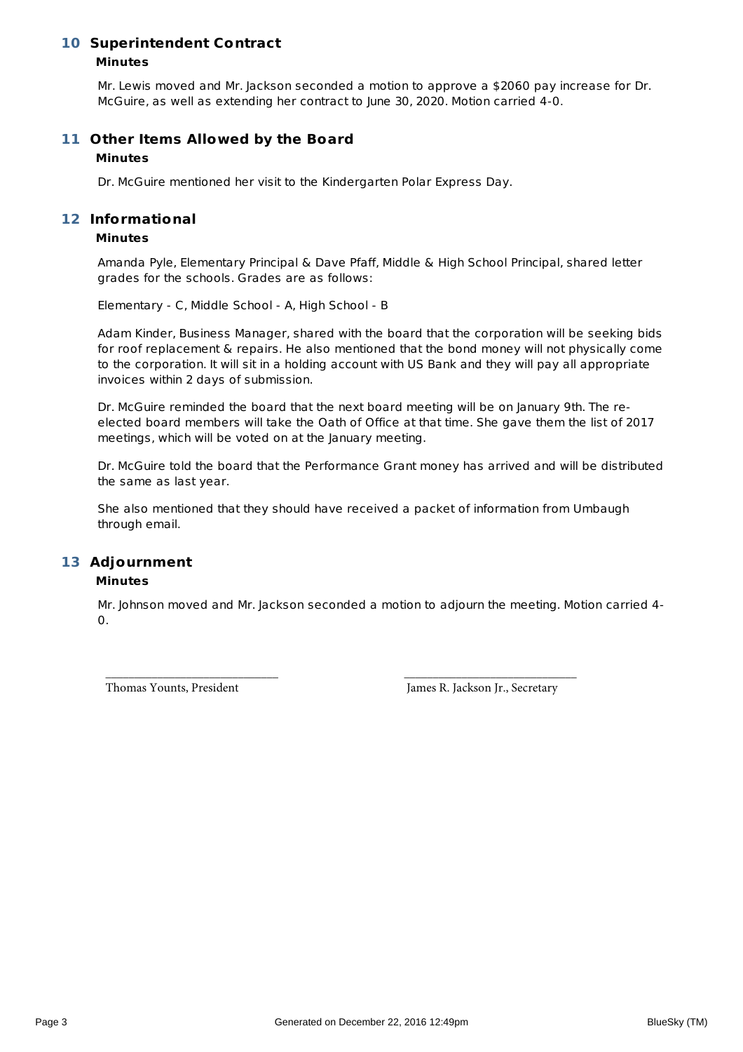# **10 Superintendent Contract**

# **Minutes**

Mr. Lewis moved and Mr. Jackson seconded a motion to approve a \$2060 pay increase for Dr. McGuire, as well as extending her contract to June 30, 2020. Motion carried 4-0.

# **Other Items Allowed by the Board 11**

# **Minutes**

Dr. McGuire mentioned her visit to the Kindergarten Polar Express Day.

# **Informational 12**

# **Minutes**

Amanda Pyle, Elementary Principal & Dave Pfaff, Middle & High School Principal, shared letter grades for the schools. Grades are as follows:

Elementary - C, Middle School - A, High School - B

Adam Kinder, Business Manager, shared with the board that the corporation will be seeking bids for roof replacement & repairs. He also mentioned that the bond money will not physically come to the corporation. It will sit in a holding account with US Bank and they will pay all appropriate invoices within 2 days of submission.

Dr. McGuire reminded the board that the next board meeting will be on January 9th. The reelected board members will take the Oath of Office at that time. She gave them the list of 2017 meetings, which will be voted on at the January meeting.

Dr. McGuire told the board that the Performance Grant money has arrived and will be distributed the same as last year.

She also mentioned that they should have received a packet of information from Umbaugh through email.

# **Adjournment 13**

# **Minutes**

Mr. Johnson moved and Mr. Jackson seconded a motion to adjourn the meeting. Motion carried 4- 0.

\_\_\_\_\_\_\_\_\_\_\_\_\_\_\_\_\_\_\_\_\_\_\_\_\_\_\_\_\_\_ \_\_\_\_\_\_\_\_\_\_\_\_\_\_\_\_\_\_\_\_\_\_\_\_\_\_\_\_\_\_ Thomas Younts, President Thomas Younts, President James R. Jackson Jr., Secretary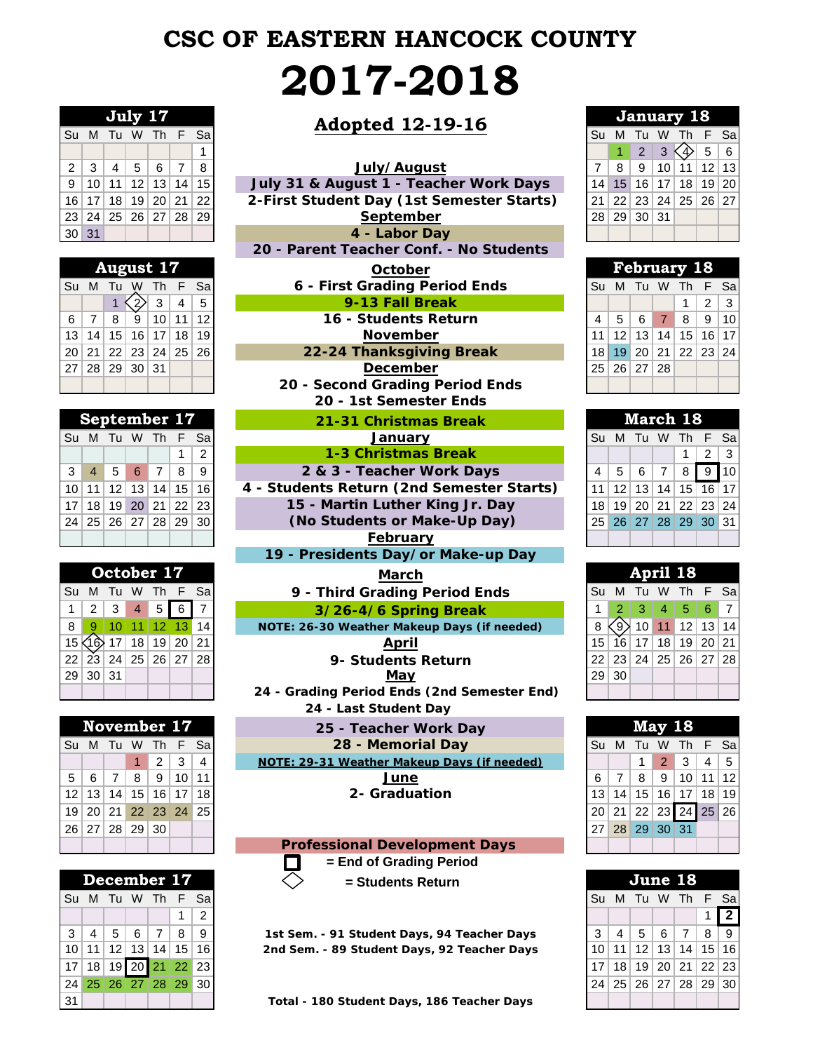# **CSC OF EASTERN HANCOCK COUNTY 2017-2018**

| July 17        |              |                |  |                               |   |    |  |  |  |  |  |  |
|----------------|--------------|----------------|--|-------------------------------|---|----|--|--|--|--|--|--|
| Su             |              | M Tu W Th      |  |                               | F | Sa |  |  |  |  |  |  |
|                |              |                |  |                               |   | 1  |  |  |  |  |  |  |
| 2              | $\mathbf{3}$ | $\overline{4}$ |  | 567                           |   | 8  |  |  |  |  |  |  |
| $\overline{9}$ |              |                |  | $10$   11   12   13   14   15 |   |    |  |  |  |  |  |  |
| 16             |              |                |  | 17   18   19   20   21   22   |   |    |  |  |  |  |  |  |
| 23             |              |                |  | 24   25   26   27   28   29   |   |    |  |  |  |  |  |  |
| 30             | 31           |                |  |                               |   |    |  |  |  |  |  |  |

| August 17 |                |    |                      |                  |  |           |  |  |  |  |  |  |
|-----------|----------------|----|----------------------|------------------|--|-----------|--|--|--|--|--|--|
| Su        | M              | Tu |                      | W Th F           |  | Sa        |  |  |  |  |  |  |
|           |                |    |                      | $ 2\rangle$ 3 4  |  | $\vert 5$ |  |  |  |  |  |  |
| 6         | 7 <sup>1</sup> | 8  |                      | 9   10   11   12 |  |           |  |  |  |  |  |  |
| 13        |                |    | 14 15 16 17 18 19    |                  |  |           |  |  |  |  |  |  |
|           |                |    | 20 21 22 23 24 25 26 |                  |  |           |  |  |  |  |  |  |
|           |                |    | 27 28 29 30 31       |                  |  |           |  |  |  |  |  |  |
|           |                |    |                      |                  |  |           |  |  |  |  |  |  |

| September 17                                  |  |  |  |              |           |  |  |  |  |  |  |  |
|-----------------------------------------------|--|--|--|--------------|-----------|--|--|--|--|--|--|--|
| Su M Tu W Th F Sa                             |  |  |  |              |           |  |  |  |  |  |  |  |
|                                               |  |  |  | $\mathbf{1}$ | $\vert$ 2 |  |  |  |  |  |  |  |
| $3 \mid 4 \mid 5 \mid 6 \mid 7 \mid 8 \mid 9$ |  |  |  |              |           |  |  |  |  |  |  |  |
| $10$   11   12   13   14   15   16            |  |  |  |              |           |  |  |  |  |  |  |  |
| 17 18 19 20 21 22 23                          |  |  |  |              |           |  |  |  |  |  |  |  |
| 24 25 26 27 28 29 30                          |  |  |  |              |           |  |  |  |  |  |  |  |
|                                               |  |  |  |              |           |  |  |  |  |  |  |  |

|    |                 | October 17 |                 |   |                | <b>March</b>                                |                 |    |
|----|-----------------|------------|-----------------|---|----------------|---------------------------------------------|-----------------|----|
| Su | M               |            |                 |   | Tu W Th F Sal  | 9 - Third Grading Period Ends               | Su M            |    |
|    | 2               | 3          | $\overline{4}$  | 5 |                | 3/26-4/6 Spring Break                       |                 |    |
| 8  |                 |            | 11              |   | 12 13 14       | NOTE: 26-30 Weather Makeup Days (if needed) |                 |    |
|    |                 |            | 18 <sup>1</sup> |   | 19 20 21       | April                                       | 15 <sub>1</sub> | 16 |
| 22 | 23 <sup>1</sup> |            |                 |   | 24 25 26 27 28 | 9- Students Return                          |                 | 23 |
| 29 |                 | 30 31      |                 |   |                | May                                         | 29              | 30 |
|    |                 |            |                 |   |                | 24 - Grading Period Ends (2nd Semester End) |                 |    |

|     |                 | November 17     |                 |                |       |                | 25 - Teacher Work Day                       |           |                 |       | May 18 |            |
|-----|-----------------|-----------------|-----------------|----------------|-------|----------------|---------------------------------------------|-----------|-----------------|-------|--------|------------|
| Su  |                 | M Tu W Th F Sal |                 |                |       |                | 28 - Memorial Day                           | Su        | M               | - Tu  | W Tr   |            |
|     |                 |                 |                 | 2              | 3     | $\overline{4}$ | NOTE: 29-31 Weather Makeup Days (if needed) |           |                 |       |        | $2 \mid 3$ |
| 5   | 6               |                 | 8               | 9              | 10 11 |                | June                                        |           |                 | 8     | 9      | l 10       |
| 12  | 13              | 14              | 15 <sup>1</sup> |                | 16 17 | 18             | 2- Graduation                               | 13        | 14 <sub>1</sub> | 15    | 16 17  |            |
| 19' | 20 <sup>1</sup> |                 |                 | 21 22 23 24 25 |       |                |                                             | 20        | 21              | 22    | 23 24  |            |
|     | 26 27           |                 |                 | 28 29 30       |       |                |                                             | <b>27</b> |                 | 28 29 | 30 31  |            |
|     |                 |                 |                 |                |       |                | <b>Professional Development Days</b>        |           |                 |       |        |            |

|                      | December 17 |  |                           |  |             |   |  |  |  |  |  |  |  |
|----------------------|-------------|--|---------------------------|--|-------------|---|--|--|--|--|--|--|--|
|                      |             |  | Su M Tu W Th F Sa         |  |             |   |  |  |  |  |  |  |  |
|                      |             |  |                           |  | $\mathbf 1$ | 2 |  |  |  |  |  |  |  |
|                      |             |  | 3   4   5   6   7   8   9 |  |             |   |  |  |  |  |  |  |  |
|                      |             |  | 10 11 12 13 14 15 16      |  |             |   |  |  |  |  |  |  |  |
| 17 18 19 20 21 22 23 |             |  |                           |  |             |   |  |  |  |  |  |  |  |
| 24 25 26 27 28 29 30 |             |  |                           |  |             |   |  |  |  |  |  |  |  |
| $\overline{131}$     |             |  |                           |  |             |   |  |  |  |  |  |  |  |

# **July 17**<br> **Tu W Th E Sa**<br> **Adopted 12-19-16**

| July/August |  |
|-------------|--|
|-------------|--|

**20 - Parent Teacher Conf. - No Students**

|                 |              |                 |       | <b>August 17</b> |       |                | <b>February 18</b><br>October             |    |                 |                   |                |                 |                |                 |
|-----------------|--------------|-----------------|-------|------------------|-------|----------------|-------------------------------------------|----|-----------------|-------------------|----------------|-----------------|----------------|-----------------|
|                 | Su M         | Тu              |       | Th               |       | Sa             | 6 - First Grading Period Ends             | Su | M               |                   | W              |                 |                | $S_{\tilde{c}}$ |
|                 |              |                 |       | 3                | 4     | 5              | 9-13 Fall Break                           |    |                 |                   |                |                 | $\overline{2}$ | 3               |
| 6               | 7            | 8               | 9     | 10 <sup>1</sup>  | 11    | 12             | 16 - Students Return                      | 4  | 5               | 6                 | $\overline{7}$ | 8               | 9              | 10              |
| 13 <sup>1</sup> | 14           | 15 <sup>2</sup> | 16    | 17               | 18    | 19             | <b>November</b>                           | 11 | 12              | 13                | 14             | 15              | 16 17          |                 |
|                 | 20 21        |                 | 22 23 |                  | 24 25 | 26             | 22-24 Thanksgiving Break                  | 18 | 19 <sup>1</sup> |                   | 20 21          | 22 <sup>1</sup> | 23 24          |                 |
|                 | 27 28        | 29 <sub>1</sub> | 30 31 |                  |       |                | <b>December</b>                           | 25 |                 | 26 27 28          |                |                 |                |                 |
|                 |              |                 |       |                  |       |                | 20 - Second Grading Period Ends           |    |                 |                   |                |                 |                |                 |
|                 |              |                 |       |                  |       |                | 20 - 1st Semester Ends                    |    |                 |                   |                |                 |                |                 |
|                 |              |                 |       |                  |       |                |                                           |    |                 |                   |                |                 |                |                 |
|                 | September 17 |                 |       |                  |       |                | 21-31 Christmas Break                     |    |                 | March 18          |                |                 |                |                 |
|                 | Su M         | Tu W            |       | Th.              |       | Sa             | January                                   | Su | <b>M</b>        | Tu W              |                | Th              |                | $S\epsilon$     |
|                 |              |                 |       |                  |       | $\overline{2}$ | 1-3 Christmas Break                       |    |                 |                   |                |                 | 2              | 3               |
| 3               | 4            | 5               | 6     | $\overline{7}$   | 8     | 9              | 2 & 3 - Teacher Work Days                 | 4  | 5               | 6                 | $\overline{7}$ | 8               | 9              | 10              |
| 10 <sup>1</sup> | 11           | 12              | 13    |                  | 14 15 | 16             | 4 - Students Return (2nd Semester Starts) | 11 | 12              | 13                | 14             | 15              | 16 17          |                 |
| 17 <sup>1</sup> | 18           | 19 <sup>°</sup> | 20    | 21               | 22    | 23             | 15 - Martin Luther King Jr. Day           | 18 | 19              |                   | 20 21          | 22              | 23 24          |                 |
|                 | 24 25        |                 | 26 27 |                  | 28 29 | 30             | (No Students or Make-Up Day)              | 25 |                 | 26 27 28 29 30 31 |                |                 |                |                 |
|                 |              |                 |       |                  |       |                | February                                  |    |                 |                   |                |                 |                |                 |

**19 - Presidents Day/or Make-up Day**

**24 - Last Student Day 24 - Grading Period Ends (2nd Semester End)**

**Professional Development Days = End of Grading Period**  $\Box$  **= Students Return**

| July 17      |   |   | <b>Adopted 12-19-16</b> |  |    |                                           |  |                 |                 | <b>January 18</b>                        |                 |    |                |   |  |  |
|--------------|---|---|-------------------------|--|----|-------------------------------------------|--|-----------------|-----------------|------------------------------------------|-----------------|----|----------------|---|--|--|
|              |   |   | Su M Tu W Th F Sa       |  |    |                                           |  | Su              | M               | - Tu                                     | W               |    | Th F Sa        |   |  |  |
|              |   |   |                         |  |    |                                           |  |                 |                 | $\overline{2}$                           | 3               |    | 5 <sup>1</sup> | 6 |  |  |
| $2 \mid 3$   | 4 | 5 | 6                       |  | 8  | July/August                               |  |                 | -8              | -9                                       | 10 <sup>1</sup> | 11 | $12$ 13        |   |  |  |
| 9 10         |   |   | 11 12 13 14             |  | 15 | July 31 & August 1 - Teacher Work Days    |  | 14              | 15 <sup>1</sup> |                                          | $16$   17       |    | 18 19 20       |   |  |  |
| $16$   17    |   |   | 18 19 20 21 22          |  |    | 2-First Student Day (1st Semester Starts) |  | 21              |                 | <sup> </sup> 22   23   24   25   26   27 |                 |    |                |   |  |  |
| 23   24      |   |   | 25   26   27   28   29  |  |    | September                                 |  | 28 <sup>1</sup> |                 | 29 30 31                                 |                 |    |                |   |  |  |
| $30\vert 31$ |   |   |                         |  |    | 4 - Labor Day                             |  |                 |                 |                                          |                 |    |                |   |  |  |

|                   | <b>February 18</b> |  |  |                                  |                   |  |  |  |  |  |  |  |  |
|-------------------|--------------------|--|--|----------------------------------|-------------------|--|--|--|--|--|--|--|--|
| Su M Tu W Th F Sa |                    |  |  |                                  |                   |  |  |  |  |  |  |  |  |
|                   |                    |  |  |                                  | $1 \mid 2 \mid 3$ |  |  |  |  |  |  |  |  |
|                   |                    |  |  | 4   5   6   7   8   9   10       |                   |  |  |  |  |  |  |  |  |
|                   |                    |  |  | 11   12   13   14   15   16   17 |                   |  |  |  |  |  |  |  |  |
| 18                |                    |  |  | 19   20   21   22   23   24      |                   |  |  |  |  |  |  |  |  |
| $25$ 26 $27$ 28   |                    |  |  |                                  |                   |  |  |  |  |  |  |  |  |
|                   |                    |  |  |                                  |                   |  |  |  |  |  |  |  |  |

|                | <b>March 18</b> |  |  |                      |            |  |  |  |  |  |  |  |  |
|----------------|-----------------|--|--|----------------------|------------|--|--|--|--|--|--|--|--|
| Su             |                 |  |  | M Tu W Th F Sa       |            |  |  |  |  |  |  |  |  |
|                |                 |  |  | $\mathbf{1}$         | $2 \mid 3$ |  |  |  |  |  |  |  |  |
| $\overline{4}$ |                 |  |  | 5 6 7 8 9 10         |            |  |  |  |  |  |  |  |  |
|                |                 |  |  | 11 12 13 14 15 16 17 |            |  |  |  |  |  |  |  |  |
|                |                 |  |  | 18 19 20 21 22 23 24 |            |  |  |  |  |  |  |  |  |
|                |                 |  |  | 25 26 27 28 29 30 31 |            |  |  |  |  |  |  |  |  |
|                |                 |  |  |                      |            |  |  |  |  |  |  |  |  |

|                 |               | October 17                       |                 |          |     | <b>March</b>                                | April 18        |                 |                                           |                |             |  |             |
|-----------------|---------------|----------------------------------|-----------------|----------|-----|---------------------------------------------|-----------------|-----------------|-------------------------------------------|----------------|-------------|--|-------------|
|                 |               | Su M Tu W Th F Sal               |                 |          |     | 9 - Third Grading Period Ends               |                 |                 | Su M Tu                                   | W              | Th F Sa     |  |             |
| 1 <sup>1</sup>  | $\mathcal{P}$ | 3                                | $\overline{4}$  |          | 566 | 3/26-4/6 Spring Break                       |                 |                 | -3                                        | $\overline{4}$ |             |  | $5 \ 6 \ 7$ |
| 8 <sup>1</sup>  | 9             |                                  |                 |          |     | NOTE: 26-30 Weather Makeup Days (if needed) |                 |                 | $\langle 9 \rangle$ 10 <b>11</b> 12 13 14 |                |             |  |             |
| 15 <sub>K</sub> |               |                                  | 18 <sup>1</sup> | 19 20 21 |     | April                                       | 15              | 16 <sup>1</sup> | 17                                        |                | 18 19 20 21 |  |             |
|                 |               | 22   23   24   25   26   27   28 |                 |          |     | 9- Students Return                          |                 |                 | 23 24                                     |                | 25 26 27 28 |  |             |
|                 | 29 30 31      |                                  |                 |          |     | May                                         | 29 <sup>1</sup> | 30              |                                           |                |             |  |             |
|                 |               |                                  |                 |          |     | 24 - Grading Period Ends (2nd Semester End) |                 |                 |                                           |                |             |  |             |

|                |           | November 17            |   |   |                |                | 25 - Teacher Work Day                       | May 18 |  |       |                   |                 |                |         |
|----------------|-----------|------------------------|---|---|----------------|----------------|---------------------------------------------|--------|--|-------|-------------------|-----------------|----------------|---------|
|                |           | Su M Tu W Th F Sa      |   |   |                |                | 28 - Memorial Day                           | Su     |  |       | M Tu W Th F Sa    |                 |                |         |
|                |           |                        |   | 2 | 3 <sup>1</sup> | $\overline{4}$ | NOTE: 29-31 Weather Makeup Days (if needed) |        |  |       | $\mathcal{P}$     | -3 l            | $\overline{4}$ | 5       |
| 5 <sup>1</sup> | - 6       |                        | 8 | 9 | 10 11          |                | June                                        |        |  | 8     | 9                 | 10 <sup>1</sup> | 11 12          |         |
|                | $12$   13 | 14   15   16   17   18 |   |   |                |                | 2- Graduation                               | 13     |  | 14 15 | $16$   17         |                 |                | 18   19 |
|                |           | 19 20 21 22 23 24 25   |   |   |                |                |                                             | 20     |  |       | 21 22 23 24 25 26 |                 |                |         |
|                |           | 26   27   28   29   30 |   |   |                |                |                                             | 27     |  |       | 28 29 30 31       |                 |                |         |
|                |           |                        |   |   |                |                | <b>Professional Development Days</b>        |        |  |       |                   |                 |                |         |

| December 17    |       |                      |   |             |   |       | $=$ Students Return                         | June 18         |                 |                 |                   |              |       |                |
|----------------|-------|----------------------|---|-------------|---|-------|---------------------------------------------|-----------------|-----------------|-----------------|-------------------|--------------|-------|----------------|
|                |       | Su M Tu W Th F Sa    |   |             |   |       |                                             | Su              | M               | - Tu            | W                 | Th F Sal     |       |                |
|                |       |                      |   |             |   | 2     |                                             |                 |                 |                 |                   |              |       | $\overline{2}$ |
| 3 <sup>1</sup> | 4     | 5                    | 6 |             | 8 | -9    | 1st Sem. - 91 Student Days, 94 Teacher Days | 3               | 4               | 5               | 6                 |              | 8     | -9             |
|                | 10 11 |                      |   | 12 13 14 15 |   | 16    | 2nd Sem. - 89 Student Days, 92 Teacher Days | 10 <sup>1</sup> | 11 <sup>1</sup> | 12 <sup>1</sup> | 13 <sup>1</sup>   | 14           | 15 16 |                |
|                |       | 17 18 19 20 21       |   |             |   | 22 23 |                                             |                 | 18 <sup>1</sup> | 19 <sup>1</sup> | 20   21   22   23 |              |       |                |
|                |       | 24 25 26 27 28 29 30 |   |             |   |       |                                             | 24              |                 | 25 26 27        |                   | 28   29   30 |       |                |
| 31             |       |                      |   |             |   |       | Total - 180 Student Days, 186 Teacher Days  |                 |                 |                 |                   |              |       |                |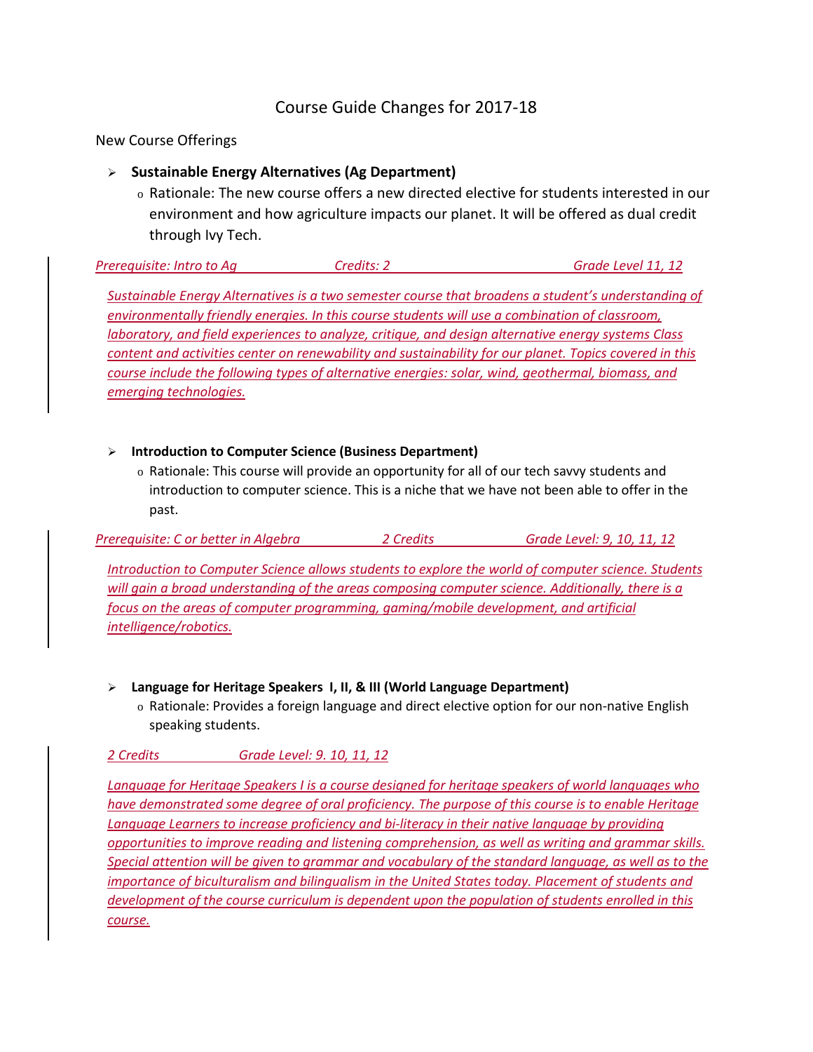# Course Guide Changes for 2017-18

New Course Offerings

# **Sustainable Energy Alternatives (Ag Department)**

o Rationale: The new course offers a new directed elective for students interested in our environment and how agriculture impacts our planet. It will be offered as dual credit through Ivy Tech.

*Prerequisite: Intro to Ag Credits: 2 Grade Level 11, 12*

*Sustainable Energy Alternatives is a two semester course that broadens a student's understanding of environmentally friendly energies. In this course students will use a combination of classroom, laboratory, and field experiences to analyze, critique, and design alternative energy systems Class content and activities center on renewability and sustainability for our planet. Topics covered in this course include the following types of alternative energies: solar, wind, geothermal, biomass, and emerging technologies.*

# **Introduction to Computer Science (Business Department)**

o Rationale: This course will provide an opportunity for all of our tech savvy students and introduction to computer science. This is a niche that we have not been able to offer in the past.

*Prerequisite: C or better in Algebra 2 Credits Grade Level: 9, 10, 11, 12*

*Introduction to Computer Science allows students to explore the world of computer science. Students will gain a broad understanding of the areas composing computer science. Additionally, there is a focus on the areas of computer programming, gaming/mobile development, and artificial intelligence/robotics.* 

- **Language for Heritage Speakers I, II, & III (World Language Department)**
	- o Rationale: Provides a foreign language and direct elective option for our non-native English speaking students.

*2 Credits Grade Level: 9. 10, 11, 12*

*Language for Heritage Speakers I is a course designed for heritage speakers of world languages who have demonstrated some degree of oral proficiency. The purpose of this course is to enable Heritage*  Language Learners to increase proficiency and bi-literacy in their native language by providing *opportunities to improve reading and listening comprehension, as well as writing and grammar skills. Special attention will be given to grammar and vocabulary of the standard language, as well as to the importance of biculturalism and bilingualism in the United States today. Placement of students and development of the course curriculum is dependent upon the population of students enrolled in this course.*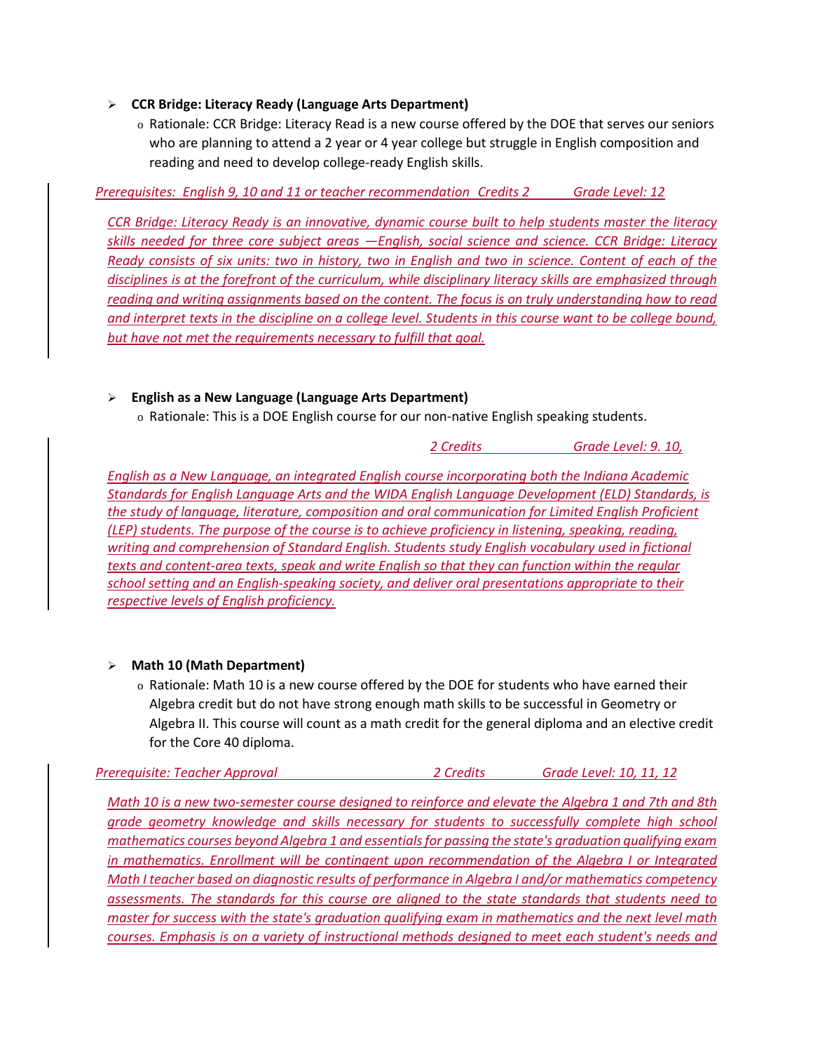# **CCR Bridge: Literacy Ready (Language Arts Department)**

o Rationale: CCR Bridge: Literacy Read is a new course offered by the DOE that serves our seniors who are planning to attend a 2 year or 4 year college but struggle in English composition and reading and need to develop college-ready English skills.

*Prerequisites: English 9, 10 and 11 or teacher recommendation Credits 2 Grade Level: 12*

*CCR Bridge: Literacy Ready is an innovative, dynamic course built to help students master the literacy skills needed for three core subject areas —English, social science and science. CCR Bridge: Literacy Ready consists of six units: two in history, two in English and two in science. Content of each of the disciplines is at the forefront of the curriculum, while disciplinary literacy skills are emphasized through reading and writing assignments based on the content. The focus is on truly understanding how to read and interpret texts in the discipline on a college level. Students in this course want to be college bound, but have not met the requirements necessary to fulfill that goal.*

# **English as a New Language (Language Arts Department)**

o Rationale: This is a DOE English course for our non-native English speaking students.

*2 Credits Grade Level: 9. 10,*

*English as a New Language, an integrated English course incorporating both the Indiana Academic Standards for English Language Arts and the WIDA English Language Development (ELD) Standards, is the study of language, literature, composition and oral communication for Limited English Proficient (LEP) students. The purpose of the course is to achieve proficiency in listening, speaking, reading, writing and comprehension of Standard English. Students study English vocabulary used in fictional texts and content-area texts, speak and write English so that they can function within the regular school setting and an English-speaking society, and deliver oral presentations appropriate to their respective levels of English proficiency.* 

# **Math 10 (Math Department)**

o Rationale: Math 10 is a new course offered by the DOE for students who have earned their Algebra credit but do not have strong enough math skills to be successful in Geometry or Algebra II. This course will count as a math credit for the general diploma and an elective credit for the Core 40 diploma.

| Prerequisite: Teacher Approval | 2 Credits | Grade Level: 10, 11, 12 |
|--------------------------------|-----------|-------------------------|
|--------------------------------|-----------|-------------------------|

*Math 10 is a new two-semester course designed to reinforce and elevate the Algebra 1 and 7th and 8th grade geometry knowledge and skills necessary for students to successfully complete high school mathematics courses beyond Algebra 1 and essentials for passing the state's graduation qualifying exam in mathematics. Enrollment will be contingent upon recommendation of the Algebra I or Integrated Math I teacher based on diagnostic results of performance in Algebra I and/or mathematics competency assessments. The standards for this course are aligned to the state standards that students need to master for success with the state's graduation qualifying exam in mathematics and the next level math courses. Emphasis is on a variety of instructional methods designed to meet each student's needs and*